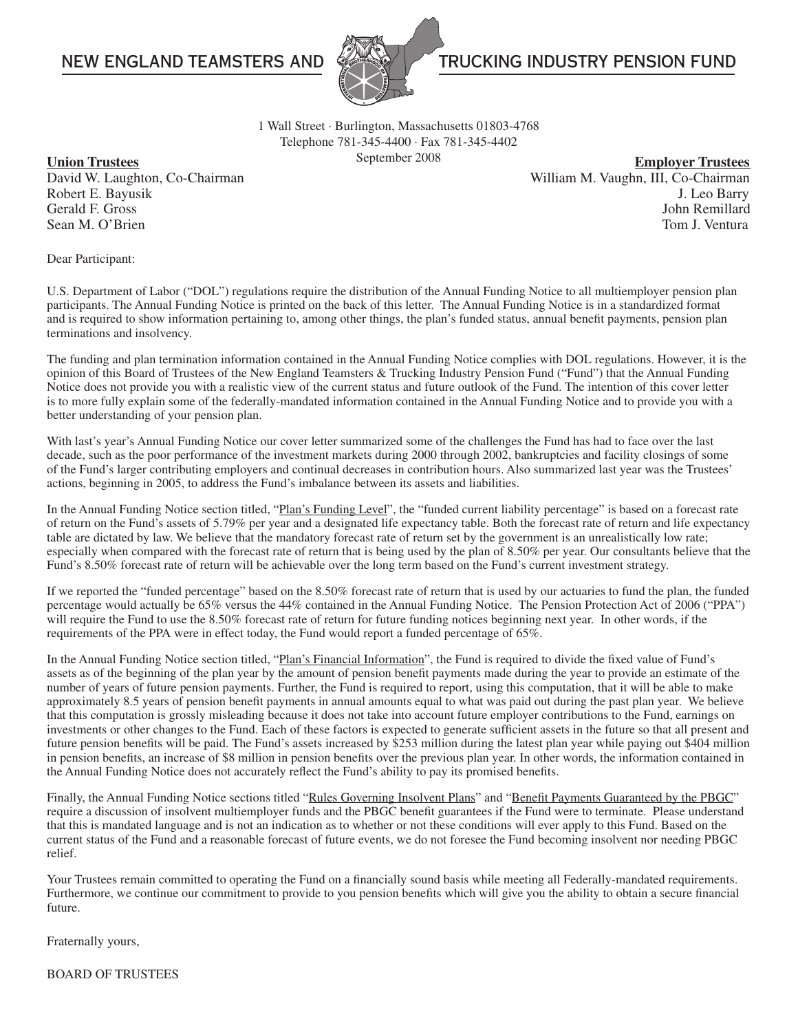

# NEW ENGLAND TEAMSTERS AND **THE SECOND TEAMS AND AND TRUCKING INDUSTRY PENSION FUND**

1 Wall Street · Burlington, Massachusetts 01803-4768 Telephone 781-345-4400 · Fax 781-345-4402

September 2008 **Union Trustees Employer Trustees** David W. Laughton, Co-Chairman William M. Vaughn, III, Co-Chairman William M. Vaughn, III, Co-Chairman Robert E. Bayusik J. Leo Barry Gerald F. Gross John Remillard Sean M. O'Brien Tom J. Ventura

Dear Participant:

U.S. Department of Labor ("DOL") regulations require the distribution of the Annual Funding Notice to all multiemployer pension plan participants. The Annual Funding Notice is printed on the back of this letter. The Annual Funding Notice is in a standardized format and is required to show information pertaining to, among other things, the plan's funded status, annual benefit payments, pension plan terminations and insolvency.

The funding and plan termination information contained in the Annual Funding Notice complies with DOL regulations. However, it is the opinion of this Board of Trustees of the New England Teamsters & Trucking Industry Pension Fund ("Fund") that the Annual Funding Notice does not provide you with a realistic view of the current status and future outlook of the Fund. The intention of this cover letter is to more fully explain some of the federally-mandated information contained in the Annual Funding Notice and to provide you with a better understanding of your pension plan.

With last's year's Annual Funding Notice our cover letter summarized some of the challenges the Fund has had to face over the last decade, such as the poor performance of the investment markets during 2000 through 2002, bankruptcies and facility closings of some of the Fund's larger contributing employers and continual decreases in contribution hours. Also summarized last year was the Trustees' actions, beginning in 2005, to address the Fund's imbalance between its assets and liabilities.

In the Annual Funding Notice section titled, "Plan's Funding Level", the "funded current liability percentage" is based on a forecast rate of return on the Fund's assets of 5.79% per year and a designated life expectancy table. Both the forecast rate of return and life expectancy table are dictated by law. We believe that the mandatory forecast rate of return set by the government is an unrealistically low rate; especially when compared with the forecast rate of return that is being used by the plan of 8.50% per year. Our consultants believe that the Fund's 8.50% forecast rate of return will be achievable over the long term based on the Fund's current investment strategy.

If we reported the "funded percentage" based on the 8.50% forecast rate of return that is used by our actuaries to fund the plan, the funded percentage would actually be 65% versus the 44% contained in the Annual Funding Notice. The Pension Protection Act of 2006 ("PPA") will require the Fund to use the 8.50% forecast rate of return for future funding notices beginning next year. In other words, if the requirements of the PPA were in effect today, the Fund would report a funded percentage of 65%.

In the Annual Funding Notice section titled, "Plan's Financial Information", the Fund is required to divide the fixed value of Fund's assets as of the beginning of the plan year by the amount of pension benefit payments made during the year to provide an estimate of the number of years of future pension payments. Further, the Fund is required to report, using this computation, that it will be able to make approximately 8.5 years of pension benefit payments in annual amounts equal to what was paid out during the past plan year. We believe that this computation is grossly misleading because it does not take into account future employer contributions to the Fund, earnings on investments or other changes to the Fund. Each of these factors is expected to generate sufficient assets in the future so that all present and future pension benefits will be paid. The Fund's assets increased by \$253 million during the latest plan year while paying out \$404 million in pension benefits, an increase of \$8 million in pension benefits over the previous plan year. In other words, the information contained in the Annual Funding Notice does not accurately reflect the Fund's ability to pay its promised benefits.

Finally, the Annual Funding Notice sections titled "Rules Governing Insolvent Plans" and "Benefit Payments Guaranteed by the PBGC" require a discussion of insolvent multiemployer funds and the PBGC benefit guarantees if the Fund were to terminate. Please understand that this is mandated language and is not an indication as to whether or not these conditions will ever apply to this Fund. Based on the current status of the Fund and a reasonable forecast of future events, we do not foresee the Fund becoming insolvent nor needing PBGC relief.

Your Trustees remain committed to operating the Fund on a financially sound basis while meeting all Federally-mandated requirements. Furthermore, we continue our commitment to provide to you pension benefits which will give you the ability to obtain a secure financial future.

Fraternally yours,

BOARD OF TRUSTEES